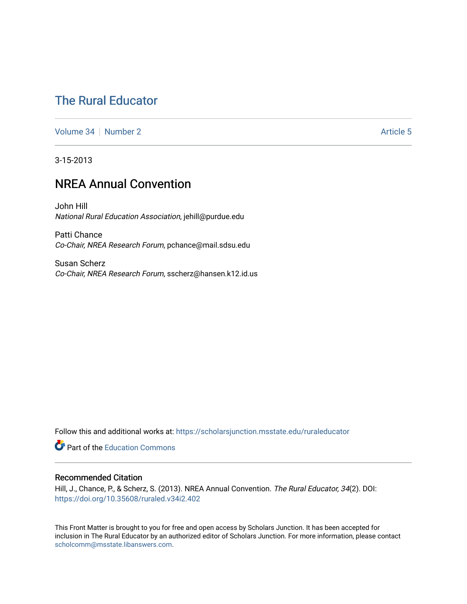### [The Rural Educator](https://scholarsjunction.msstate.edu/ruraleducator)

[Volume 34](https://scholarsjunction.msstate.edu/ruraleducator/vol34) [Number 2](https://scholarsjunction.msstate.edu/ruraleducator/vol34/iss2) Article 5

3-15-2013

### NREA Annual Convention

John Hill National Rural Education Association, jehill@purdue.edu

Patti Chance Co-Chair, NREA Research Forum, pchance@mail.sdsu.edu

Susan Scherz Co-Chair, NREA Research Forum, sscherz@hansen.k12.id.us

Follow this and additional works at: [https://scholarsjunction.msstate.edu/ruraleducator](https://scholarsjunction.msstate.edu/ruraleducator?utm_source=scholarsjunction.msstate.edu%2Fruraleducator%2Fvol34%2Fiss2%2F5&utm_medium=PDF&utm_campaign=PDFCoverPages)

**Part of the [Education Commons](http://network.bepress.com/hgg/discipline/784?utm_source=scholarsjunction.msstate.edu%2Fruraleducator%2Fvol34%2Fiss2%2F5&utm_medium=PDF&utm_campaign=PDFCoverPages)** 

#### Recommended Citation

Hill, J., Chance, P., & Scherz, S. (2013). NREA Annual Convention. The Rural Educator, 34(2). DOI: <https://doi.org/10.35608/ruraled.v34i2.402>

This Front Matter is brought to you for free and open access by Scholars Junction. It has been accepted for inclusion in The Rural Educator by an authorized editor of Scholars Junction. For more information, please contact [scholcomm@msstate.libanswers.com.](mailto:scholcomm@msstate.libanswers.com)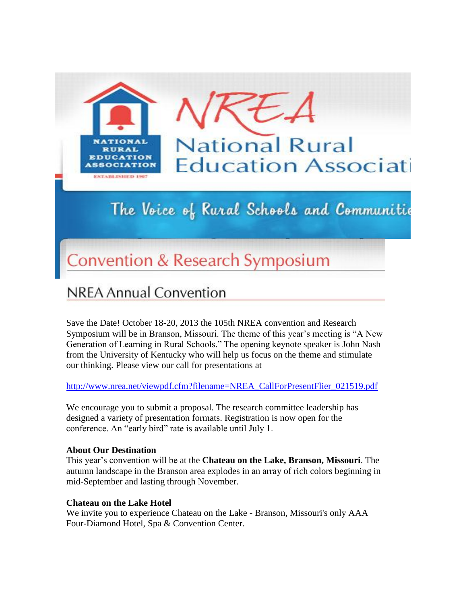

# The Voice of Rural Schools and Communitie

# **Convention & Research Symposium**

## **NREA Annual Convention**

Save the Date! October 18-20, 2013 the 105th NREA convention and Research Symposium will be in Branson, Missouri. The theme of this year's meeting is "A New Generation of Learning in Rural Schools." The opening keynote speaker is John Nash from the University of Kentucky who will help us focus on the theme and stimulate our thinking. Please view our call for presentations at

[http://www.nrea.net/viewpdf.cfm?filename=NREA\\_CallForPresentFlier\\_021519.pdf](http://www.nrea.net/viewpdf.cfm?filename=NREA_CallForPresentFlier_021519.pdf)

We encourage you to submit a proposal. The research committee leadership has designed a variety of presentation formats. Registration is now open for the conference. An "early bird" rate is available until July 1.

#### **About Our Destination**

This year's convention will be at the **Chateau on the Lake, Branson, Missouri**. The autumn landscape in the Branson area explodes in an array of rich colors beginning in mid-September and lasting through November.

#### **Chateau on the Lake Hotel**

We invite you to experience Chateau on the Lake - Branson, Missouri's only AAA Four-Diamond Hotel, Spa & Convention Center.